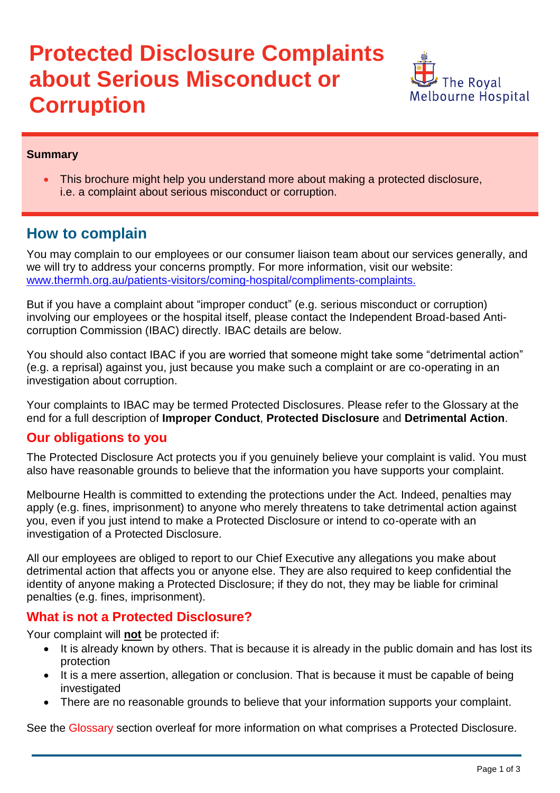# **Protected Disclosure Complaints about Serious Misconduct or Corruption**



#### **Summary**

 This brochure might help you understand more about making a protected disclosure, i.e. a complaint about serious misconduct or corruption.

# **How to complain**

You may complain to our employees or our consumer liaison team about our services generally, and we will try to address your concerns promptly. For more information, visit our website: [www.thermh.org.au/patients-visitors/coming-hospital/compliments-complaints.](http://www.thermh.org.au/patients-visitors/coming-hospital/compliments-complaints.)

But if you have a complaint about "improper conduct" (e.g. serious misconduct or corruption) involving our employees or the hospital itself, please contact the Independent Broad-based Anticorruption Commission (IBAC) directly. IBAC details are below.

You should also contact IBAC if you are worried that someone might take some "detrimental action" (e.g. a reprisal) against you, just because you make such a complaint or are co-operating in an investigation about corruption.

Your complaints to IBAC may be termed Protected Disclosures. Please refer to the Glossary at the end for a full description of **Improper Conduct**, **Protected Disclosure** and **Detrimental Action**.

#### **Our obligations to you**

The Protected Disclosure Act protects you if you genuinely believe your complaint is valid. You must also have reasonable grounds to believe that the information you have supports your complaint.

Melbourne Health is committed to extending the protections under the Act. Indeed, penalties may apply (e.g. fines, imprisonment) to anyone who merely threatens to take detrimental action against you, even if you just intend to make a Protected Disclosure or intend to co-operate with an investigation of a Protected Disclosure.

All our employees are obliged to report to our Chief Executive any allegations you make about detrimental action that affects you or anyone else. They are also required to keep confidential the identity of anyone making a Protected Disclosure; if they do not, they may be liable for criminal penalties (e.g. fines, imprisonment).

## **What is not a Protected Disclosure?**

Your complaint will **not** be protected if:

- It is already known by others. That is because it is already in the public domain and has lost its protection
- It is a mere assertion, allegation or conclusion. That is because it must be capable of being investigated
- There are no reasonable grounds to believe that your information supports your complaint.

See the Glossary section overleaf for more information on what comprises a Protected Disclosure.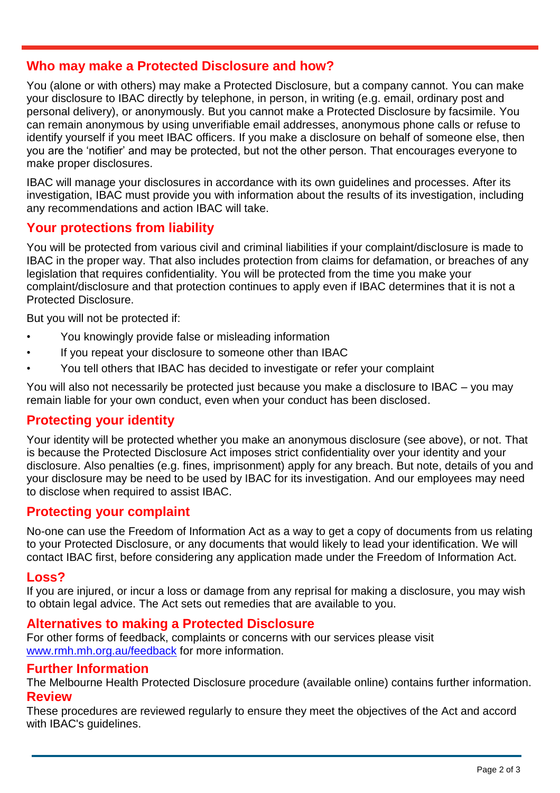## **Who may make a Protected Disclosure and how?**

You (alone or with others) may make a Protected Disclosure, but a company cannot. You can make your disclosure to IBAC directly by telephone, in person, in writing (e.g. email, ordinary post and personal delivery), or anonymously. But you cannot make a Protected Disclosure by facsimile. You can remain anonymous by using unverifiable email addresses, anonymous phone calls or refuse to identify yourself if you meet IBAC officers. If you make a disclosure on behalf of someone else, then you are the "notifier" and may be protected, but not the other person. That encourages everyone to make proper disclosures.

IBAC will manage your disclosures in accordance with its own guidelines and processes. After its investigation, IBAC must provide you with information about the results of its investigation, including any recommendations and action IBAC will take.

## **Your protections from liability**

You will be protected from various civil and criminal liabilities if your complaint/disclosure is made to IBAC in the proper way. That also includes protection from claims for defamation, or breaches of any legislation that requires confidentiality. You will be protected from the time you make your complaint/disclosure and that protection continues to apply even if IBAC determines that it is not a Protected Disclosure.

But you will not be protected if:

- You knowingly provide false or misleading information
- If you repeat your disclosure to someone other than IBAC
- You tell others that IBAC has decided to investigate or refer your complaint

You will also not necessarily be protected just because you make a disclosure to IBAC – you may remain liable for your own conduct, even when your conduct has been disclosed.

## **Protecting your identity**

Your identity will be protected whether you make an anonymous disclosure (see above), or not. That is because the Protected Disclosure Act imposes strict confidentiality over your identity and your disclosure. Also penalties (e.g. fines, imprisonment) apply for any breach. But note, details of you and your disclosure may be need to be used by IBAC for its investigation. And our employees may need to disclose when required to assist IBAC.

## **Protecting your complaint**

No-one can use the Freedom of Information Act as a way to get a copy of documents from us relating to your Protected Disclosure, or any documents that would likely to lead your identification. We will contact IBAC first, before considering any application made under the Freedom of Information Act.

#### **Loss?**

If you are injured, or incur a loss or damage from any reprisal for making a disclosure, you may wish to obtain legal advice. The Act sets out remedies that are available to you.

#### **Alternatives to making a Protected Disclosure**

For other forms of feedback, complaints or concerns with our services please visit [www.rmh.mh.org.au/feedback](http://www.rmh.mh.org.au/feedback) for more information.

#### **Further Information**

The Melbourne Health Protected Disclosure procedure (available online) contains further information. **Review**

These procedures are reviewed regularly to ensure they meet the objectives of the Act and accord with IBAC's guidelines.